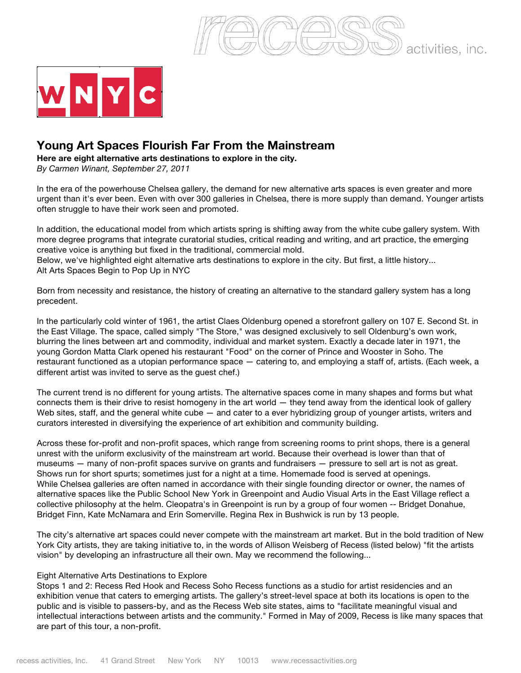



## **Young Art Spaces Flourish Far From the Mainstream**

**Here are eight alternative arts destinations to explore in the city.**

*By Carmen Winant, September 27, 2011* 

In the era of the powerhouse Chelsea gallery, the demand for new alternative arts spaces is even greater and more urgent than it's ever been. Even with over 300 galleries in Chelsea, there is more supply than demand. Younger artists often struggle to have their work seen and promoted.

In addition, the educational model from which artists spring is shifting away from the white cube gallery system. With more degree programs that integrate curatorial studies, critical reading and writing, and art practice, the emerging creative voice is anything but fixed in the traditional, commercial mold. Below, we've highlighted eight alternative arts destinations to explore in the city. But first, a little history... Alt Arts Spaces Begin to Pop Up in NYC

Born from necessity and resistance, the history of creating an alternative to the standard gallery system has a long precedent.

In the particularly cold winter of 1961, the artist Claes Oldenburg opened a storefront gallery on 107 E. Second St. in the East Village. The space, called simply "The Store," was designed exclusively to sell Oldenburg's own work, blurring the lines between art and commodity, individual and market system. Exactly a decade later in 1971, the young Gordon Matta Clark opened his restaurant "Food" on the corner of Prince and Wooster in Soho. The restaurant functioned as a utopian performance space — catering to, and employing a staff of, artists. (Each week, a different artist was invited to serve as the guest chef.)

The current trend is no different for young artists. The alternative spaces come in many shapes and forms but what connects them is their drive to resist homogeny in the art world — they tend away from the identical look of gallery Web sites, staff, and the general white cube — and cater to a ever hybridizing group of younger artists, writers and curators interested in diversifying the experience of art exhibition and community building.

Across these for-profit and non-profit spaces, which range from screening rooms to print shops, there is a general unrest with the uniform exclusivity of the mainstream art world. Because their overhead is lower than that of museums — many of non-profit spaces survive on grants and fundraisers — pressure to sell art is not as great. Shows run for short spurts; sometimes just for a night at a time. Homemade food is served at openings. While Chelsea galleries are often named in accordance with their single founding director or owner, the names of alternative spaces like the Public School New York in Greenpoint and Audio Visual Arts in the East Village reflect a collective philosophy at the helm. Cleopatra's in Greenpoint is run by a group of four women -- Bridget Donahue, Bridget Finn, Kate McNamara and Erin Somerville. Regina Rex in Bushwick is run by 13 people.

The city's alternative art spaces could never compete with the mainstream art market. But in the bold tradition of New York City artists, they are taking initiative to, in the words of Allison Weisberg of Recess (listed below) "fit the artists vision" by developing an infrastructure all their own. May we recommend the following...

## Eight Alternative Arts Destinations to Explore

Stops 1 and 2: Recess Red Hook and Recess Soho Recess functions as a studio for artist residencies and an exhibition venue that caters to emerging artists. The gallery's street-level space at both its locations is open to the public and is visible to passers-by, and as the Recess Web site states, aims to "facilitate meaningful visual and intellectual interactions between artists and the community." Formed in May of 2009, Recess is like many spaces that are part of this tour, a non-profit.